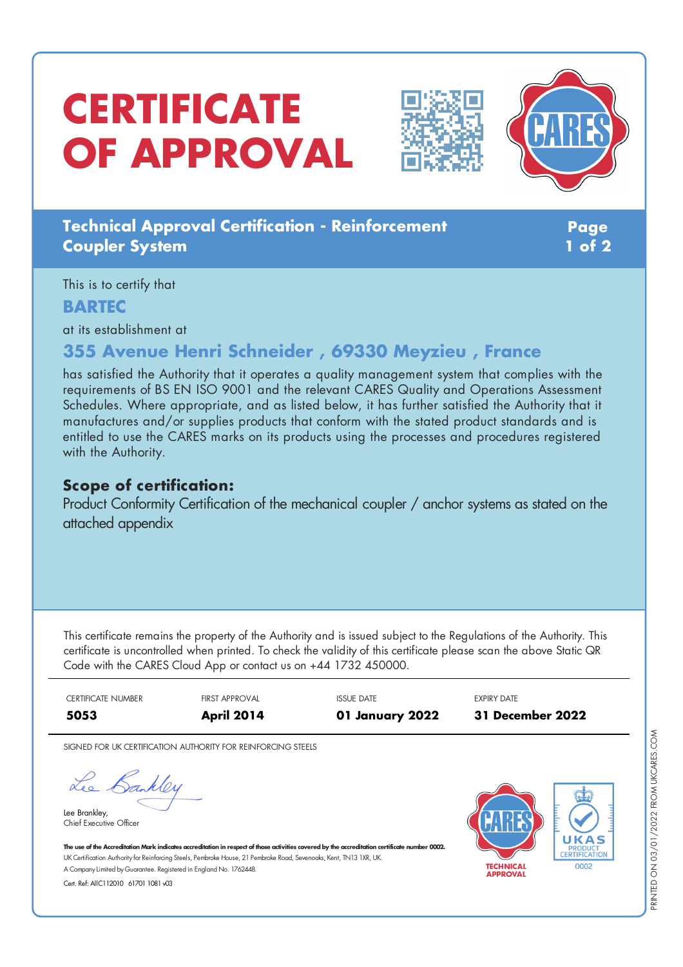# **CERTIFICATE OF APPROVAL**





## **Technical Approval Certification - Reinforcement Coupler System**

**Page 1 of 2**

This is to certify that

### **BARTEC**

at its establishment at

# **355 Avenue Henri Schneider , 69330 Meyzieu , France**

has satisfied the Authority that it operates a quality management system that complies with the requirements of BS EN ISO 9001 and the relevant CARES Quality and Operations Assessment Schedules. Where appropriate, and as listed below, it has further satisfied the Authority that it manufactures and/or supplies products that conform with the stated product standards and is entitled to use the CARES marks on its products using the processes and procedures registered with the Authority.

## **Scope of certification:**

Product Conformity Certification of the mechanical coupler / anchor systems as stated on the attached appendix

This certificate remains the property of the Authority and is issued subject to the Regulations of the Authority. This certificate is uncontrolled when printed. To check the validity of this certificate please scan the above Static QR Code with the CARES Cloud App or contact us on +44 1732 450000.